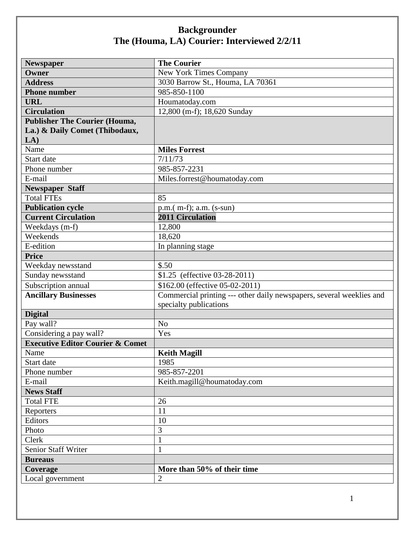| Newspaper                                   | <b>The Courier</b>                                                   |
|---------------------------------------------|----------------------------------------------------------------------|
| Owner                                       | <b>New York Times Company</b>                                        |
| <b>Address</b>                              | 3030 Barrow St., Houma, LA 70361                                     |
| <b>Phone number</b>                         | 985-850-1100                                                         |
| <b>URL</b>                                  | Houmatoday.com                                                       |
| <b>Circulation</b>                          | 12,800 (m-f); 18,620 Sunday                                          |
| <b>Publisher The Courier (Houma,</b>        |                                                                      |
| La.) & Daily Comet (Thibodaux,              |                                                                      |
| LA)                                         |                                                                      |
| Name                                        | <b>Miles Forrest</b>                                                 |
| Start date                                  | 7/11/73                                                              |
| Phone number                                | 985-857-2231                                                         |
| E-mail                                      | Miles.forrest@houmatoday.com                                         |
| <b>Newspaper Staff</b>                      |                                                                      |
| <b>Total FTEs</b>                           | 85                                                                   |
| <b>Publication cycle</b>                    | $p.m.(m-f); a.m. (s-sum)$                                            |
| <b>Current Circulation</b>                  | <b>2011 Circulation</b>                                              |
| Weekdays (m-f)                              | 12,800                                                               |
| Weekends                                    | 18,620                                                               |
| E-edition                                   | In planning stage                                                    |
| <b>Price</b>                                |                                                                      |
| Weekday newsstand                           | \$.50                                                                |
| Sunday newsstand                            | \$1.25 (effective 03-28-2011)                                        |
| Subscription annual                         | \$162.00 (effective 05-02-2011)                                      |
| <b>Ancillary Businesses</b>                 | Commercial printing --- other daily newspapers, several weeklies and |
|                                             | specialty publications                                               |
| <b>Digital</b>                              |                                                                      |
| Pay wall?                                   | N <sub>o</sub>                                                       |
| Considering a pay wall?                     | Yes                                                                  |
| <b>Executive Editor Courier &amp; Comet</b> |                                                                      |
| Name                                        | <b>Keith Magill</b>                                                  |
| Start date                                  | 1985                                                                 |
| Phone number                                | 985-857-2201                                                         |
| E-mail                                      | Keith.magill@houmatoday.com                                          |
| <b>News Staff</b>                           |                                                                      |
| <b>Total FTE</b>                            | 26                                                                   |
| Reporters                                   | 11                                                                   |
| Editors                                     | 10                                                                   |
| Photo                                       | 3                                                                    |
| Clerk                                       | $\mathbf{1}$                                                         |
| <b>Senior Staff Writer</b>                  | $\mathbf{1}$                                                         |
| <b>Bureaus</b>                              |                                                                      |
| Coverage                                    | More than 50% of their time                                          |
| Local government                            | $\overline{2}$                                                       |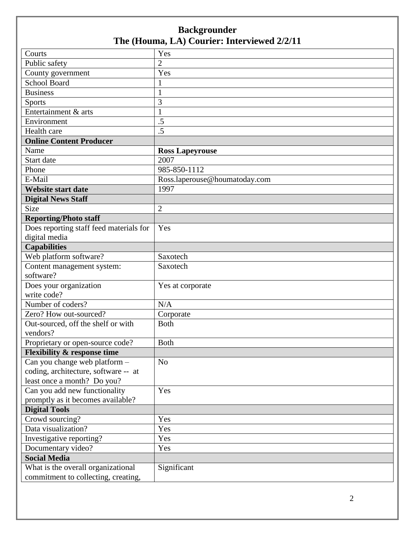| Courts                                  | Yes                           |
|-----------------------------------------|-------------------------------|
| Public safety                           | $\overline{2}$                |
| County government                       | Yes                           |
| <b>School Board</b>                     | 1                             |
| <b>Business</b>                         | $\mathbf{1}$                  |
| <b>Sports</b>                           | 3                             |
| Entertainment & arts                    | 1                             |
| Environment                             | $\overline{.5}$               |
| Health care                             | $\overline{.5}$               |
| <b>Online Content Producer</b>          |                               |
| Name                                    | <b>Ross Lapeyrouse</b>        |
| Start date                              | 2007                          |
| Phone                                   | 985-850-1112                  |
| E-Mail                                  | Ross.laperouse@houmatoday.com |
| <b>Website start date</b>               | 1997                          |
| <b>Digital News Staff</b>               |                               |
| <b>Size</b>                             | $\overline{2}$                |
| <b>Reporting/Photo staff</b>            |                               |
| Does reporting staff feed materials for | Yes                           |
| digital media                           |                               |
| <b>Capabilities</b>                     |                               |
| Web platform software?                  | Saxotech                      |
| Content management system:              | Saxotech                      |
| software?                               |                               |
| Does your organization                  | Yes at corporate              |
| write code?                             |                               |
| Number of coders?                       | N/A                           |
| Zero? How out-sourced?                  | Corporate                     |
| Out-sourced, off the shelf or with      | <b>Both</b>                   |
| vendors?                                |                               |
| Proprietary or open-source code?        | <b>Both</b>                   |
| <b>Flexibility &amp; response time</b>  |                               |
| Can you change web platform -           | N <sub>o</sub>                |
| coding, architecture, software -- at    |                               |
| least once a month? Do you?             |                               |
| Can you add new functionality           | Yes                           |
| promptly as it becomes available?       |                               |
| <b>Digital Tools</b>                    |                               |
| Crowd sourcing?                         | Yes                           |
| Data visualization?                     | Yes                           |
| Investigative reporting?                | Yes                           |
| Documentary video?                      | Yes                           |
| <b>Social Media</b>                     |                               |
| What is the overall organizational      | Significant                   |
| commitment to collecting, creating,     |                               |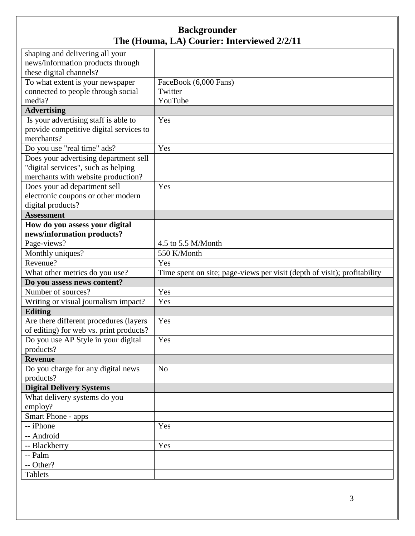| shaping and delivering all your         |                                                                          |
|-----------------------------------------|--------------------------------------------------------------------------|
| news/information products through       |                                                                          |
| these digital channels?                 |                                                                          |
| To what extent is your newspaper        | FaceBook (6,000 Fans)                                                    |
| connected to people through social      | Twitter                                                                  |
| media?                                  | YouTube                                                                  |
| <b>Advertising</b>                      |                                                                          |
| Is your advertising staff is able to    | Yes                                                                      |
| provide competitive digital services to |                                                                          |
| merchants?                              |                                                                          |
| Do you use "real time" ads?             | Yes                                                                      |
| Does your advertising department sell   |                                                                          |
| "digital services", such as helping     |                                                                          |
| merchants with website production?      |                                                                          |
| Does your ad department sell            | Yes                                                                      |
| electronic coupons or other modern      |                                                                          |
| digital products?                       |                                                                          |
| <b>Assessment</b>                       |                                                                          |
| How do you assess your digital          |                                                                          |
| news/information products?              |                                                                          |
| Page-views?                             | 4.5 to 5.5 M/Month                                                       |
| Monthly uniques?                        | 550 K/Month                                                              |
| Revenue?                                | Yes                                                                      |
| What other metrics do you use?          | Time spent on site; page-views per visit (depth of visit); profitability |
| Do you assess news content?             |                                                                          |
| Number of sources?                      | Yes                                                                      |
| Writing or visual journalism impact?    | Yes                                                                      |
| <b>Editing</b>                          |                                                                          |
| Are there different procedures (layers  | Yes                                                                      |
| of editing) for web vs. print products? |                                                                          |
| Do you use AP Style in your digital     | Yes                                                                      |
| products?                               |                                                                          |
| <b>Revenue</b>                          |                                                                          |
| Do you charge for any digital news      | No                                                                       |
| products?                               |                                                                          |
| <b>Digital Delivery Systems</b>         |                                                                          |
| What delivery systems do you            |                                                                          |
| employ?                                 |                                                                          |
| Smart Phone - apps                      |                                                                          |
| -- iPhone                               | Yes                                                                      |
| -- Android                              |                                                                          |
| -- Blackberry                           | Yes                                                                      |
| -- Palm                                 |                                                                          |
| -- Other?                               |                                                                          |
| <b>Tablets</b>                          |                                                                          |